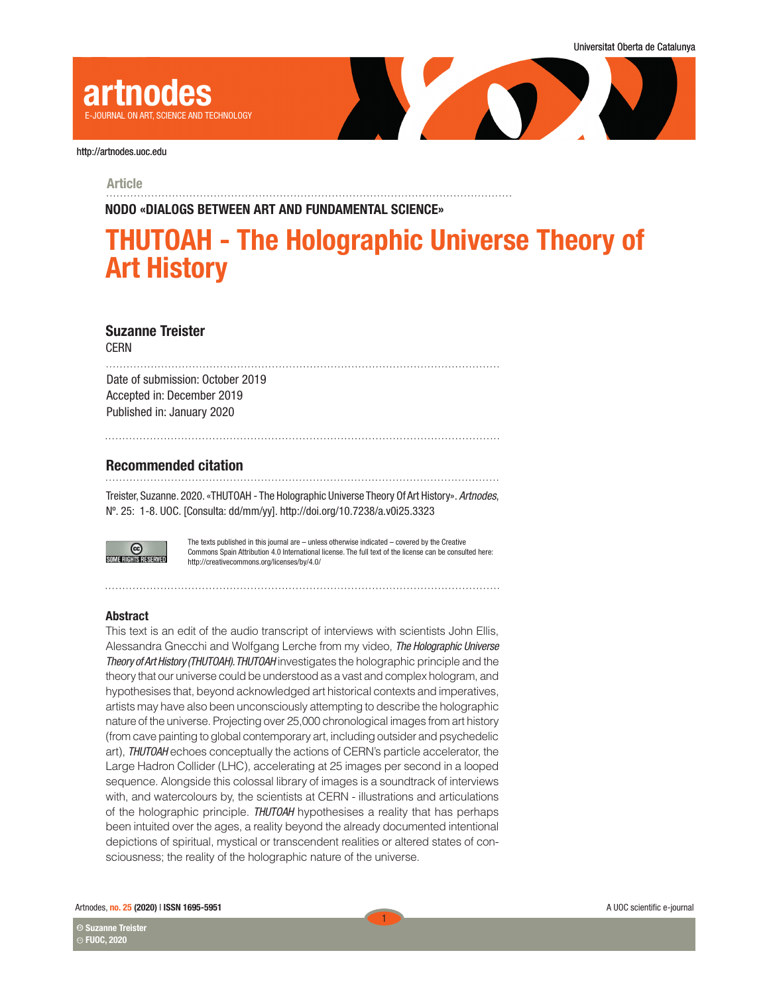

## Article

NODO «DIALOGS BETWEEN ART AND FUNDAMENTAL SCIENCE»

# THUTOAH - The Holographic Universe Theory of Art History

## Suzanne Treister

CERN

Date of submission: October 2019 Accepted in: December 2019 Published in: January 2020

# Recommended citation

Treister, Suzanne. 2020. «THUTOAH - The Holographic Universe Theory Of Art History». *Artnodes*, Nº. 25: 1-8. UOC. [Consulta: dd/mm/yy]. http://doi.org/10.7238/a.v0i25.3323



The texts published in this journal are – unless otherwise indicated – covered by the Creative Commons Spain Attribution 4.0 International license. The full text of the license can be consulted here: http://creativecommons.org/licenses/by/4.0/

1

## Abstract

This text is an edit of the audio transcript of interviews with scientists John Ellis, Alessandra Gnecchi and Wolfgang Lerche from my video, *The Holographic Universe Theory of Art History (THUTOAH). THUTOAH* investigates the holographic principle and the theory that our universe could be understood as a vast and complex hologram, and hypothesises that, beyond acknowledged art historical contexts and imperatives, artists may have also been unconsciously attempting to describe the holographic nature of the universe. Projecting over 25,000 chronological images from art history (from cave painting to global contemporary art, including outsider and psychedelic art), *THUTOAH* echoes conceptually the actions of CERN's particle accelerator, the Large Hadron Collider (LHC), accelerating at 25 images per second in a looped sequence. Alongside this colossal library of images is a soundtrack of interviews with, and watercolours by, the scientists at CERN - illustrations and articulations of the holographic principle. *THUTOAH* hypothesises a reality that has perhaps been intuited over the ages, a reality beyond the already documented intentional depictions of spiritual, mystical or transcendent realities or altered states of consciousness; the reality of the holographic nature of the universe.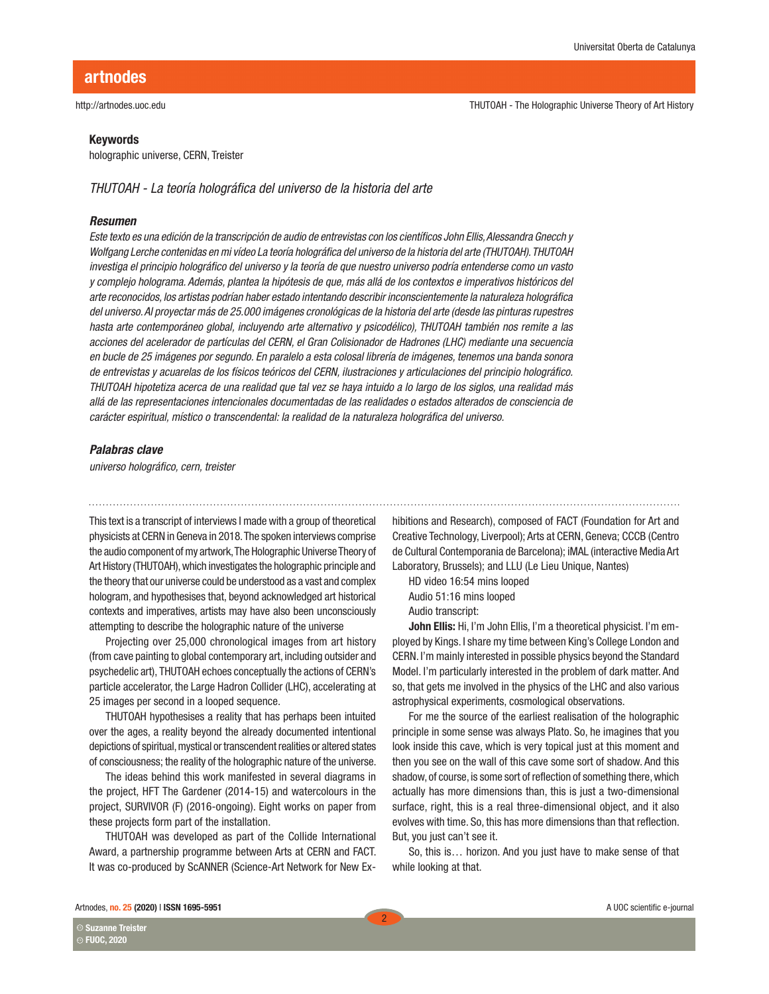## Keywords

holographic universe, CERN, Treister

*THUTOAH - La teoría holográfica del universo de la historia del arte*

## *Resumen*

*Este texto es una edición de la transcripción de audio de entrevistas con los científicos John Ellis, Alessandra Gnecch y Wolfgang Lerche contenidas en mi vídeo La teoría holográfica del universo de la historia del arte (THUTOAH). THUTOAH investiga el principio holográfico del universo y la teoría de que nuestro universo podría entenderse como un vasto y complejo holograma. Además, plantea la hipótesis de que, más allá de los contextos e imperativos históricos del arte reconocidos, los artistas podrían haber estado intentando describir inconscientemente la naturaleza holográfica del universo. Al proyectar más de 25.000 imágenes cronológicas de la historia del arte (desde las pinturas rupestres hasta arte contemporáneo global, incluyendo arte alternativo y psicodélico), THUTOAH también nos remite a las acciones del acelerador de partículas del CERN, el Gran Colisionador de Hadrones (LHC) mediante una secuencia en bucle de 25 imágenes por segundo. En paralelo a esta colosal librería de imágenes, tenemos una banda sonora de entrevistas y acuarelas de los físicos teóricos del CERN, ilustraciones y articulaciones del principio holográfico. THUTOAH hipotetiza acerca de una realidad que tal vez se haya intuido a lo largo de los siglos, una realidad más allá de las representaciones intencionales documentadas de las realidades o estados alterados de consciencia de carácter espiritual, místico o transcendental: la realidad de la naturaleza holográfica del universo.*

#### *Palabras clave*

*universo holográfico, cern, treister*

This text is a transcript of interviews I made with a group of theoretical physicists at CERN in Geneva in 2018. The spoken interviews comprise the audio component of my artwork, The Holographic Universe Theory of Art History (THUTOAH), which investigates the holographic principle and the theory that our universe could be understood as a vast and complex hologram, and hypothesises that, beyond acknowledged art historical contexts and imperatives, artists may have also been unconsciously attempting to describe the holographic nature of the universe

Projecting over 25,000 chronological images from art history (from cave painting to global contemporary art, including outsider and psychedelic art), THUTOAH echoes conceptually the actions of CERN's particle accelerator, the Large Hadron Collider (LHC), accelerating at 25 images per second in a looped sequence.

THUTOAH hypothesises a reality that has perhaps been intuited over the ages, a reality beyond the already documented intentional depictions of spiritual, mystical or transcendent realities or altered states of consciousness; the reality of the holographic nature of the universe.

The ideas behind this work manifested in several diagrams in the project, HFT The Gardener (2014-15) and watercolours in the project, SURVIVOR (F) (2016-ongoing). Eight works on paper from these projects form part of the installation.

THUTOAH was developed as part of the Collide International Award, a partnership programme between Arts at CERN and FACT. It was co-produced by ScANNER (Science-Art Network for New Exhibitions and Research), composed of FACT (Foundation for Art and Creative Technology, Liverpool); Arts at CERN, Geneva; CCCB (Centro de Cultural Contemporania de Barcelona); iMAL (interactive Media Art Laboratory, Brussels); and LLU (Le Lieu Unique, Nantes)

HD video 16:54 mins looped Audio 51:16 mins looped Audio transcript:

John Ellis: Hi, I'm John Ellis, I'm a theoretical physicist. I'm employed by Kings. I share my time between King's College London and CERN. I'm mainly interested in possible physics beyond the Standard Model. I'm particularly interested in the problem of dark matter. And so, that gets me involved in the physics of the LHC and also various astrophysical experiments, cosmological observations.

For me the source of the earliest realisation of the holographic principle in some sense was always Plato. So, he imagines that you look inside this cave, which is very topical just at this moment and then you see on the wall of this cave some sort of shadow. And this shadow, of course, is some sort of reflection of something there, which actually has more dimensions than, this is just a two-dimensional surface, right, this is a real three-dimensional object, and it also evolves with time. So, this has more dimensions than that reflection. But, you just can't see it.

So, this is… horizon. And you just have to make sense of that while looking at that.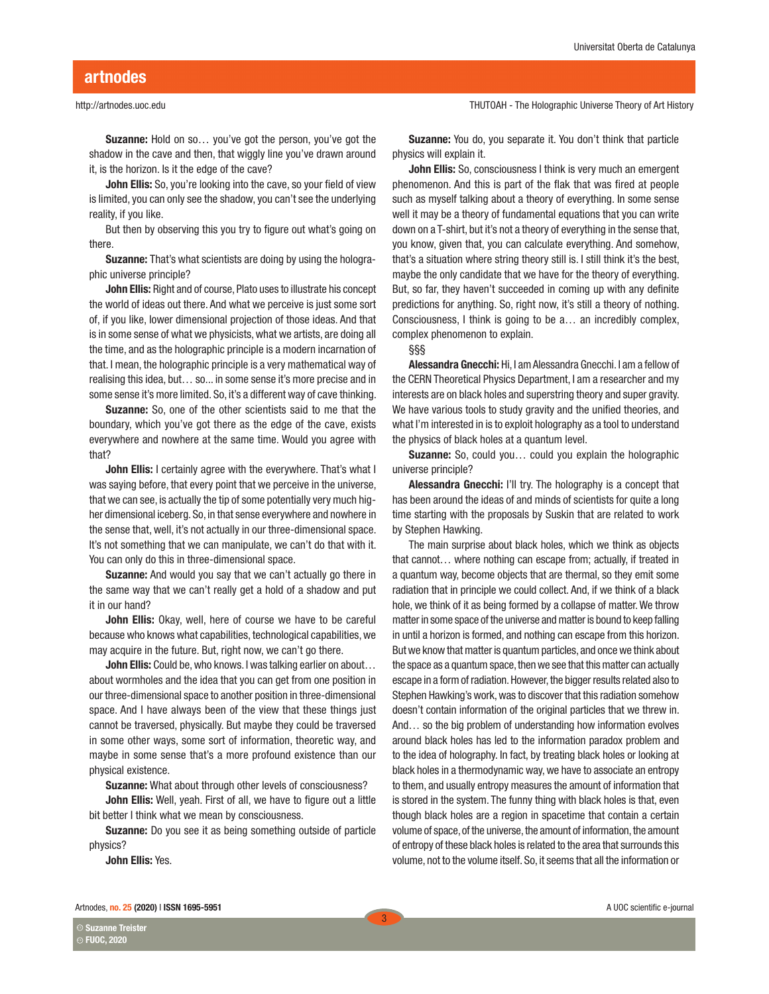# artnodes

## http://artnodes.uoc.edu

Suzanne: Hold on so… you've got the person, you've got the shadow in the cave and then, that wiggly line you've drawn around it, is the horizon. Is it the edge of the cave?

John Ellis: So, you're looking into the cave, so your field of view is limited, you can only see the shadow, you can't see the underlying reality, if you like.

But then by observing this you try to figure out what's going on there.

**Suzanne:** That's what scientists are doing by using the holographic universe principle?

John Ellis: Right and of course, Plato uses to illustrate his concept the world of ideas out there. And what we perceive is just some sort of, if you like, lower dimensional projection of those ideas. And that is in some sense of what we physicists, what we artists, are doing all the time, and as the holographic principle is a modern incarnation of that. I mean, the holographic principle is a very mathematical way of realising this idea, but… so... in some sense it's more precise and in some sense it's more limited. So, it's a different way of cave thinking.

Suzanne: So, one of the other scientists said to me that the boundary, which you've got there as the edge of the cave, exists everywhere and nowhere at the same time. Would you agree with that?

John Ellis: I certainly agree with the everywhere. That's what I was saying before, that every point that we perceive in the universe, that we can see, is actually the tip of some potentially very much higher dimensional iceberg. So, in that sense everywhere and nowhere in the sense that, well, it's not actually in our three-dimensional space. It's not something that we can manipulate, we can't do that with it. You can only do this in three-dimensional space.

Suzanne: And would you say that we can't actually go there in the same way that we can't really get a hold of a shadow and put it in our hand?

John Ellis: Okay, well, here of course we have to be careful because who knows what capabilities, technological capabilities, we may acquire in the future. But, right now, we can't go there.

**John Ellis:** Could be, who knows. I was talking earlier on about... about wormholes and the idea that you can get from one position in our three-dimensional space to another position in three-dimensional space. And I have always been of the view that these things just cannot be traversed, physically. But maybe they could be traversed in some other ways, some sort of information, theoretic way, and maybe in some sense that's a more profound existence than our physical existence.

Suzanne: What about through other levels of consciousness?

John Ellis: Well, yeah. First of all, we have to figure out a little bit better I think what we mean by consciousness.

Suzanne: Do you see it as being something outside of particle physics?

John Ellis: Yes.

THUTOAH - The Holographic Universe Theory of Art History

Suzanne: You do, you separate it. You don't think that particle physics will explain it.

John Ellis: So, consciousness I think is very much an emergent phenomenon. And this is part of the flak that was fired at people such as myself talking about a theory of everything. In some sense well it may be a theory of fundamental equations that you can write down on a T-shirt, but it's not a theory of everything in the sense that, you know, given that, you can calculate everything. And somehow, that's a situation where string theory still is. I still think it's the best, maybe the only candidate that we have for the theory of everything. But, so far, they haven't succeeded in coming up with any definite predictions for anything. So, right now, it's still a theory of nothing. Consciousness, I think is going to be a… an incredibly complex, complex phenomenon to explain.

## §§§

Alessandra Gnecchi: Hi, I am Alessandra Gnecchi. I am a fellow of the CERN Theoretical Physics Department, I am a researcher and my interests are on black holes and superstring theory and super gravity. We have various tools to study gravity and the unified theories, and what I'm interested in is to exploit holography as a tool to understand the physics of black holes at a quantum level.

Suzanne: So, could you... could you explain the holographic universe principle?

Alessandra Gnecchi: I'll try. The holography is a concept that has been around the ideas of and minds of scientists for quite a long time starting with the proposals by Suskin that are related to work by Stephen Hawking.

The main surprise about black holes, which we think as objects that cannot… where nothing can escape from; actually, if treated in a quantum way, become objects that are thermal, so they emit some radiation that in principle we could collect. And, if we think of a black hole, we think of it as being formed by a collapse of matter. We throw matter in some space of the universe and matter is bound to keep falling in until a horizon is formed, and nothing can escape from this horizon. But we know that matter is quantum particles, and once we think about the space as a quantum space, then we see that this matter can actually escape in a form of radiation. However, the bigger results related also to Stephen Hawking's work, was to discover that this radiation somehow doesn't contain information of the original particles that we threw in. And… so the big problem of understanding how information evolves around black holes has led to the information paradox problem and to the idea of holography. In fact, by treating black holes or looking at black holes in a thermodynamic way, we have to associate an entropy to them, and usually entropy measures the amount of information that is stored in the system. The funny thing with black holes is that, even though black holes are a region in spacetime that contain a certain volume of space, of the universe, the amount of information, the amount of entropy of these black holes is related to the area that surrounds this volume, not to the volume itself. So, it seems that all the information or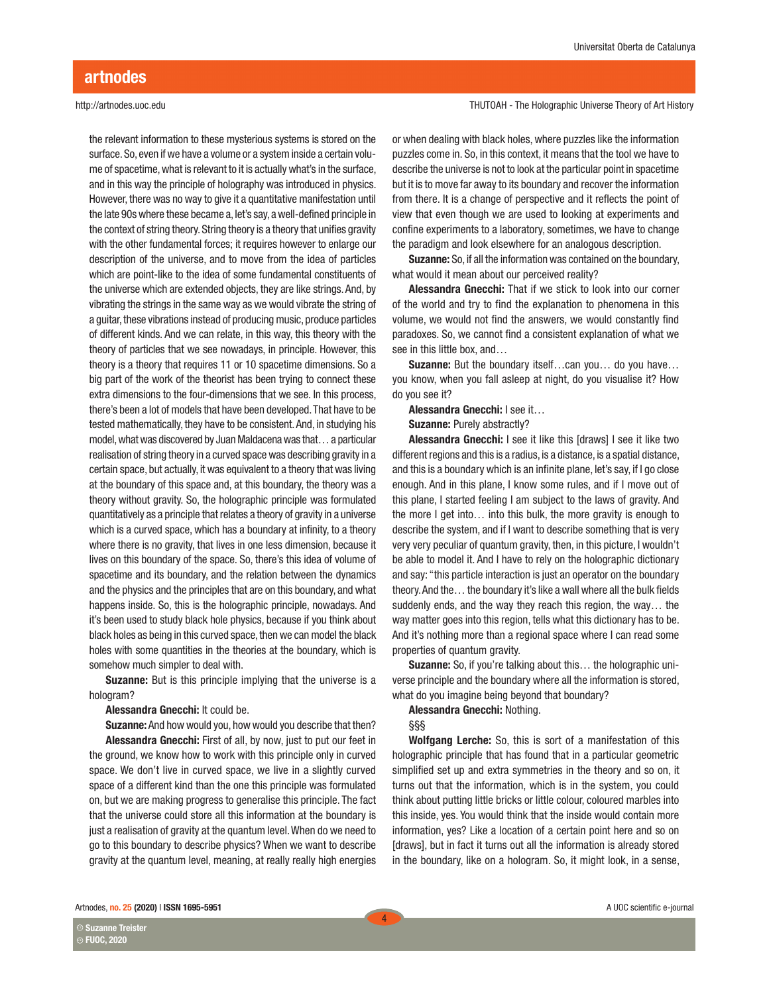the relevant information to these mysterious systems is stored on the surface. So, even if we have a volume or a system inside a certain volume of spacetime, what is relevant to it is actually what's in the surface, and in this way the principle of holography was introduced in physics. However, there was no way to give it a quantitative manifestation until the late 90s where these became a, let's say, a well-defined principle in the context of string theory. String theory is a theory that unifies gravity with the other fundamental forces; it requires however to enlarge our description of the universe, and to move from the idea of particles which are point-like to the idea of some fundamental constituents of the universe which are extended objects, they are like strings. And, by vibrating the strings in the same way as we would vibrate the string of a guitar, these vibrations instead of producing music, produce particles of different kinds. And we can relate, in this way, this theory with the theory of particles that we see nowadays, in principle. However, this theory is a theory that requires 11 or 10 spacetime dimensions. So a big part of the work of the theorist has been trying to connect these extra dimensions to the four-dimensions that we see. In this process, there's been a lot of models that have been developed. That have to be tested mathematically, they have to be consistent. And, in studying his model, what was discovered by Juan Maldacena was that… a particular realisation of string theory in a curved space was describing gravity in a certain space, but actually, it was equivalent to a theory that was living at the boundary of this space and, at this boundary, the theory was a theory without gravity. So, the holographic principle was formulated quantitatively as a principle that relates a theory of gravity in a universe which is a curved space, which has a boundary at infinity, to a theory where there is no gravity, that lives in one less dimension, because it lives on this boundary of the space. So, there's this idea of volume of spacetime and its boundary, and the relation between the dynamics and the physics and the principles that are on this boundary, and what happens inside. So, this is the holographic principle, nowadays. And it's been used to study black hole physics, because if you think about black holes as being in this curved space, then we can model the black holes with some quantities in the theories at the boundary, which is somehow much simpler to deal with.

**Suzanne:** But is this principle implying that the universe is a hologram?

Alessandra Gnecchi: It could be.

Suzanne: And how would you, how would you describe that then? Alessandra Gnecchi: First of all, by now, just to put our feet in the ground, we know how to work with this principle only in curved space. We don't live in curved space, we live in a slightly curved space of a different kind than the one this principle was formulated on, but we are making progress to generalise this principle. The fact that the universe could store all this information at the boundary is just a realisation of gravity at the quantum level. When do we need to go to this boundary to describe physics? When we want to describe gravity at the quantum level, meaning, at really really high energies

THUTOAH - The Holographic Universe Theory of Art History

or when dealing with black holes, where puzzles like the information puzzles come in. So, in this context, it means that the tool we have to describe the universe is not to look at the particular point in spacetime but it is to move far away to its boundary and recover the information from there. It is a change of perspective and it reflects the point of view that even though we are used to looking at experiments and confine experiments to a laboratory, sometimes, we have to change the paradigm and look elsewhere for an analogous description.

Suzanne: So, if all the information was contained on the boundary, what would it mean about our perceived reality?

Alessandra Gnecchi: That if we stick to look into our corner of the world and try to find the explanation to phenomena in this volume, we would not find the answers, we would constantly find paradoxes. So, we cannot find a consistent explanation of what we see in this little box, and…

Suzanne: But the boundary itself...can you... do you have... you know, when you fall asleep at night, do you visualise it? How do you see it?

Alessandra Gnecchi: I see it…

Suzanne: Purely abstractly?

Alessandra Gnecchi: I see it like this [draws] I see it like two different regions and this is a radius, is a distance, is a spatial distance, and this is a boundary which is an infinite plane, let's say, if I go close enough. And in this plane, I know some rules, and if I move out of this plane, I started feeling I am subject to the laws of gravity. And the more I get into… into this bulk, the more gravity is enough to describe the system, and if I want to describe something that is very very very peculiar of quantum gravity, then, in this picture, I wouldn't be able to model it. And I have to rely on the holographic dictionary and say: "this particle interaction is just an operator on the boundary theory. And the… the boundary it's like a wall where all the bulk fields suddenly ends, and the way they reach this region, the way… the way matter goes into this region, tells what this dictionary has to be. And it's nothing more than a regional space where I can read some properties of quantum gravity.

Suzanne: So, if you're talking about this… the holographic universe principle and the boundary where all the information is stored, what do you imagine being beyond that boundary?

#### Alessandra Gnecchi: Nothing.

§§§

Wolfgang Lerche: So, this is sort of a manifestation of this holographic principle that has found that in a particular geometric simplified set up and extra symmetries in the theory and so on, it turns out that the information, which is in the system, you could think about putting little bricks or little colour, coloured marbles into this inside, yes. You would think that the inside would contain more information, yes? Like a location of a certain point here and so on [draws], but in fact it turns out all the information is already stored in the boundary, like on a hologram. So, it might look, in a sense,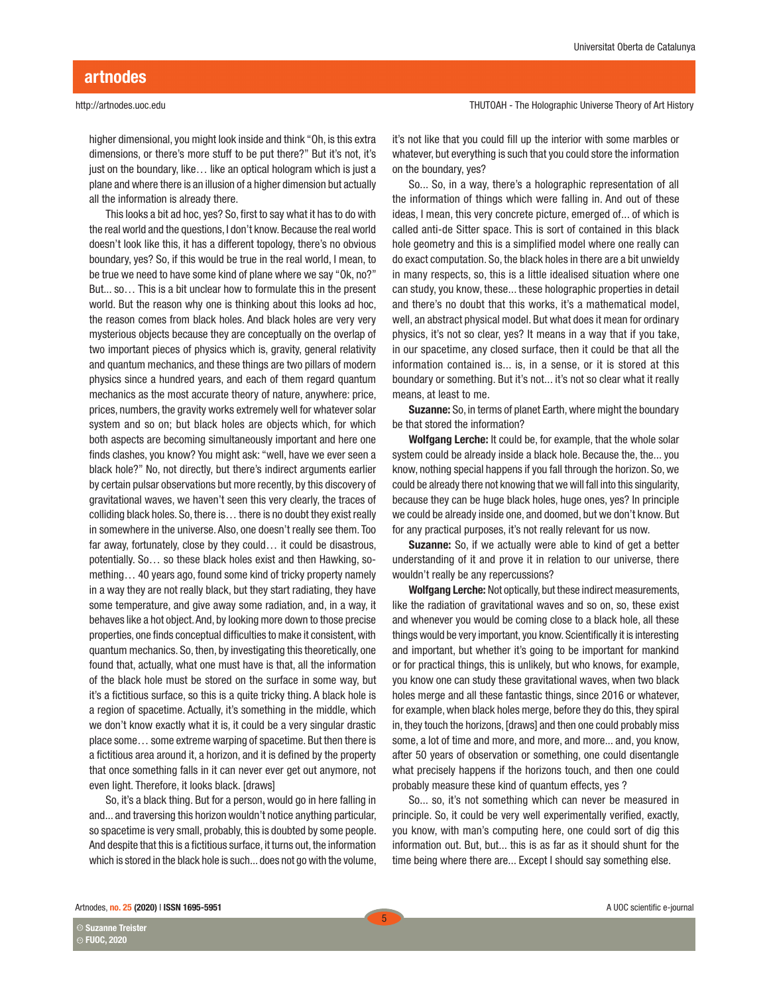# artnodes

#### http://artnodes.uoc.edu

higher dimensional, you might look inside and think "Oh, is this extra dimensions, or there's more stuff to be put there?" But it's not, it's just on the boundary, like… like an optical hologram which is just a plane and where there is an illusion of a higher dimension but actually all the information is already there.

This looks a bit ad hoc, yes? So, first to say what it has to do with the real world and the questions, I don't know. Because the real world doesn't look like this, it has a different topology, there's no obvious boundary, yes? So, if this would be true in the real world, I mean, to be true we need to have some kind of plane where we say "Ok, no?" But... so… This is a bit unclear how to formulate this in the present world. But the reason why one is thinking about this looks ad hoc, the reason comes from black holes. And black holes are very very mysterious objects because they are conceptually on the overlap of two important pieces of physics which is, gravity, general relativity and quantum mechanics, and these things are two pillars of modern physics since a hundred years, and each of them regard quantum mechanics as the most accurate theory of nature, anywhere: price, prices, numbers, the gravity works extremely well for whatever solar system and so on; but black holes are objects which, for which both aspects are becoming simultaneously important and here one finds clashes, you know? You might ask: "well, have we ever seen a black hole?" No, not directly, but there's indirect arguments earlier by certain pulsar observations but more recently, by this discovery of gravitational waves, we haven't seen this very clearly, the traces of colliding black holes. So, there is… there is no doubt they exist really in somewhere in the universe. Also, one doesn't really see them. Too far away, fortunately, close by they could… it could be disastrous, potentially. So… so these black holes exist and then Hawking, something… 40 years ago, found some kind of tricky property namely in a way they are not really black, but they start radiating, they have some temperature, and give away some radiation, and, in a way, it behaves like a hot object. And, by looking more down to those precise properties, one finds conceptual difficulties to make it consistent, with quantum mechanics. So, then, by investigating this theoretically, one found that, actually, what one must have is that, all the information of the black hole must be stored on the surface in some way, but it's a fictitious surface, so this is a quite tricky thing. A black hole is a region of spacetime. Actually, it's something in the middle, which we don't know exactly what it is, it could be a very singular drastic place some… some extreme warping of spacetime. But then there is a fictitious area around it, a horizon, and it is defined by the property that once something falls in it can never ever get out anymore, not even light. Therefore, it looks black. [draws]

So, it's a black thing. But for a person, would go in here falling in and... and traversing this horizon wouldn't notice anything particular, so spacetime is very small, probably, this is doubted by some people. And despite that this is a fictitious surface, it turns out, the information which is stored in the black hole is such... does not go with the volume, THUTOAH - The Holographic Universe Theory of Art History

it's not like that you could fill up the interior with some marbles or whatever, but everything is such that you could store the information on the boundary, yes?

So... So, in a way, there's a holographic representation of all the information of things which were falling in. And out of these ideas, I mean, this very concrete picture, emerged of... of which is called anti-de Sitter space. This is sort of contained in this black hole geometry and this is a simplified model where one really can do exact computation. So, the black holes in there are a bit unwieldy in many respects, so, this is a little idealised situation where one can study, you know, these... these holographic properties in detail and there's no doubt that this works, it's a mathematical model, well, an abstract physical model. But what does it mean for ordinary physics, it's not so clear, yes? It means in a way that if you take, in our spacetime, any closed surface, then it could be that all the information contained is... is, in a sense, or it is stored at this boundary or something. But it's not... it's not so clear what it really means, at least to me.

Suzanne: So, in terms of planet Earth, where might the boundary be that stored the information?

Wolfgang Lerche: It could be, for example, that the whole solar system could be already inside a black hole. Because the, the... you know, nothing special happens if you fall through the horizon. So, we could be already there not knowing that we will fall into this singularity, because they can be huge black holes, huge ones, yes? In principle we could be already inside one, and doomed, but we don't know. But for any practical purposes, it's not really relevant for us now.

Suzanne: So, if we actually were able to kind of get a better understanding of it and prove it in relation to our universe, there wouldn't really be any repercussions?

Wolfgang Lerche: Not optically, but these indirect measurements, like the radiation of gravitational waves and so on, so, these exist and whenever you would be coming close to a black hole, all these things would be very important, you know. Scientifically it is interesting and important, but whether it's going to be important for mankind or for practical things, this is unlikely, but who knows, for example, you know one can study these gravitational waves, when two black holes merge and all these fantastic things, since 2016 or whatever, for example, when black holes merge, before they do this, they spiral in, they touch the horizons, [draws] and then one could probably miss some, a lot of time and more, and more, and more... and, you know, after 50 years of observation or something, one could disentangle what precisely happens if the horizons touch, and then one could probably measure these kind of quantum effects, yes ?

So... so, it's not something which can never be measured in principle. So, it could be very well experimentally verified, exactly, you know, with man's computing here, one could sort of dig this information out. But, but... this is as far as it should shunt for the time being where there are... Except I should say something else.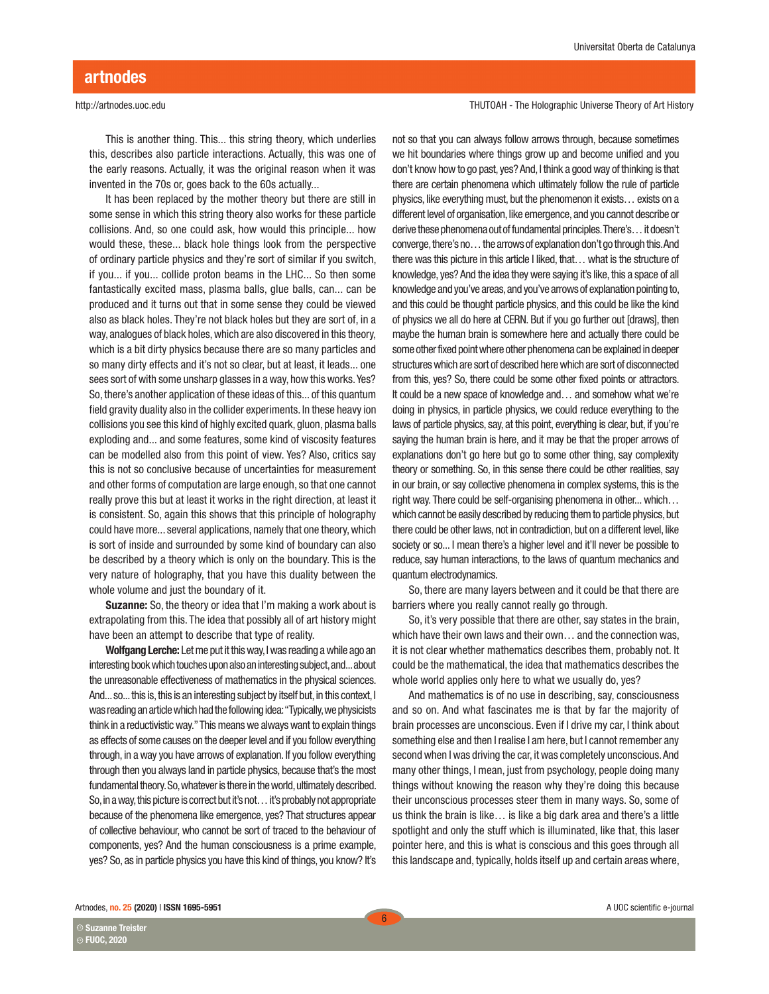This is another thing. This... this string theory, which underlies this, describes also particle interactions. Actually, this was one of the early reasons. Actually, it was the original reason when it was invented in the 70s or, goes back to the 60s actually...

It has been replaced by the mother theory but there are still in some sense in which this string theory also works for these particle collisions. And, so one could ask, how would this principle... how would these, these... black hole things look from the perspective of ordinary particle physics and they're sort of similar if you switch, if you... if you... collide proton beams in the LHC... So then some fantastically excited mass, plasma balls, glue balls, can... can be produced and it turns out that in some sense they could be viewed also as black holes. They're not black holes but they are sort of, in a way, analogues of black holes, which are also discovered in this theory, which is a bit dirty physics because there are so many particles and so many dirty effects and it's not so clear, but at least, it leads... one sees sort of with some unsharp glasses in a way, how this works. Yes? So, there's another application of these ideas of this... of this quantum field gravity duality also in the collider experiments. In these heavy ion collisions you see this kind of highly excited quark, gluon, plasma balls exploding and... and some features, some kind of viscosity features can be modelled also from this point of view. Yes? Also, critics say this is not so conclusive because of uncertainties for measurement and other forms of computation are large enough, so that one cannot really prove this but at least it works in the right direction, at least it is consistent. So, again this shows that this principle of holography could have more... several applications, namely that one theory, which is sort of inside and surrounded by some kind of boundary can also be described by a theory which is only on the boundary. This is the very nature of holography, that you have this duality between the whole volume and just the boundary of it.

**Suzanne:** So, the theory or idea that I'm making a work about is extrapolating from this. The idea that possibly all of art history might have been an attempt to describe that type of reality.

Wolfgang Lerche: Let me put it this way, I was reading a while ago an interesting book which touches upon also an interesting subject, and... about the unreasonable effectiveness of mathematics in the physical sciences. And... so... this is, this is an interesting subject by itself but, in this context, I was reading an article which had the following idea: "Typically, we physicists think in a reductivistic way." This means we always want to explain things as effects of some causes on the deeper level and if you follow everything through, in a way you have arrows of explanation. If you follow everything through then you always land in particle physics, because that's the most fundamental theory. So, whatever is there in the world, ultimately described. So, in a way, this picture is correct but it's not… it's probably not appropriate because of the phenomena like emergence, yes? That structures appear of collective behaviour, who cannot be sort of traced to the behaviour of components, yes? And the human consciousness is a prime example, yes? So, as in particle physics you have this kind of things, you know? It's THUTOAH - The Holographic Universe Theory of Art History

not so that you can always follow arrows through, because sometimes we hit boundaries where things grow up and become unified and you don't know how to go past, yes? And, I think a good way of thinking is that there are certain phenomena which ultimately follow the rule of particle physics, like everything must, but the phenomenon it exists… exists on a different level of organisation, like emergence, and you cannot describe or derive these phenomena out of fundamental principles. There's… it doesn't converge, there's no… the arrows of explanation don't go through this. And there was this picture in this article I liked, that… what is the structure of knowledge, yes? And the idea they were saying it's like, this a space of all knowledge and you've areas, and you've arrows of explanation pointing to, and this could be thought particle physics, and this could be like the kind of physics we all do here at CERN. But if you go further out [draws], then maybe the human brain is somewhere here and actually there could be some other fixed point where other phenomena can be explained in deeper structures which are sort of described here which are sort of disconnected from this, yes? So, there could be some other fixed points or attractors. It could be a new space of knowledge and… and somehow what we're doing in physics, in particle physics, we could reduce everything to the laws of particle physics, say, at this point, everything is clear, but, if you're saying the human brain is here, and it may be that the proper arrows of explanations don't go here but go to some other thing, say complexity theory or something. So, in this sense there could be other realities, say in our brain, or say collective phenomena in complex systems, this is the right way. There could be self-organising phenomena in other... which… which cannot be easily described by reducing them to particle physics, but there could be other laws, not in contradiction, but on a different level, like society or so... I mean there's a higher level and it'll never be possible to reduce, say human interactions, to the laws of quantum mechanics and quantum electrodynamics.

So, there are many layers between and it could be that there are barriers where you really cannot really go through.

So, it's very possible that there are other, say states in the brain, which have their own laws and their own… and the connection was, it is not clear whether mathematics describes them, probably not. It could be the mathematical, the idea that mathematics describes the whole world applies only here to what we usually do, yes?

And mathematics is of no use in describing, say, consciousness and so on. And what fascinates me is that by far the majority of brain processes are unconscious. Even if I drive my car, I think about something else and then I realise I am here, but I cannot remember any second when I was driving the car, it was completely unconscious. And many other things, I mean, just from psychology, people doing many things without knowing the reason why they're doing this because their unconscious processes steer them in many ways. So, some of us think the brain is like… is like a big dark area and there's a little spotlight and only the stuff which is illuminated, like that, this laser pointer here, and this is what is conscious and this goes through all this landscape and, typically, holds itself up and certain areas where,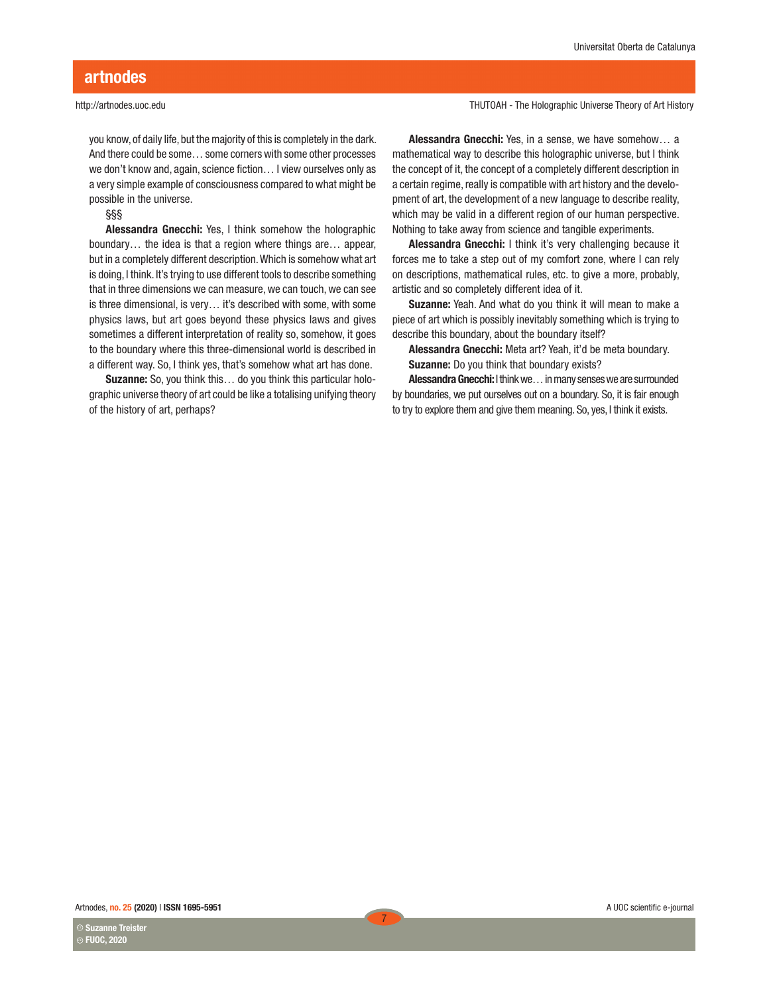you know, of daily life, but the majority of this is completely in the dark. And there could be some… some corners with some other processes we don't know and, again, science fiction… I view ourselves only as a very simple example of consciousness compared to what might be possible in the universe.

§§§

Alessandra Gnecchi: Yes, I think somehow the holographic boundary… the idea is that a region where things are… appear, but in a completely different description. Which is somehow what art is doing, I think. It's trying to use different tools to describe something that in three dimensions we can measure, we can touch, we can see is three dimensional, is very… it's described with some, with some physics laws, but art goes beyond these physics laws and gives sometimes a different interpretation of reality so, somehow, it goes to the boundary where this three-dimensional world is described in a different way. So, I think yes, that's somehow what art has done.

Suzanne: So, you think this… do you think this particular holographic universe theory of art could be like a totalising unifying theory of the history of art, perhaps?

THUTOAH - The Holographic Universe Theory of Art History

Alessandra Gnecchi: Yes, in a sense, we have somehow… a mathematical way to describe this holographic universe, but I think the concept of it, the concept of a completely different description in a certain regime, really is compatible with art history and the development of art, the development of a new language to describe reality, which may be valid in a different region of our human perspective. Nothing to take away from science and tangible experiments.

Alessandra Gnecchi: I think it's very challenging because it forces me to take a step out of my comfort zone, where I can rely on descriptions, mathematical rules, etc. to give a more, probably, artistic and so completely different idea of it.

Suzanne: Yeah. And what do you think it will mean to make a piece of art which is possibly inevitably something which is trying to describe this boundary, about the boundary itself?

Alessandra Gnecchi: Meta art? Yeah, it'd be meta boundary. Suzanne: Do you think that boundary exists?

Alessandra Gnecchi: I think we… in many senses we are surrounded by boundaries, we put ourselves out on a boundary. So, it is fair enough to try to explore them and give them meaning. So, yes, I think it exists.